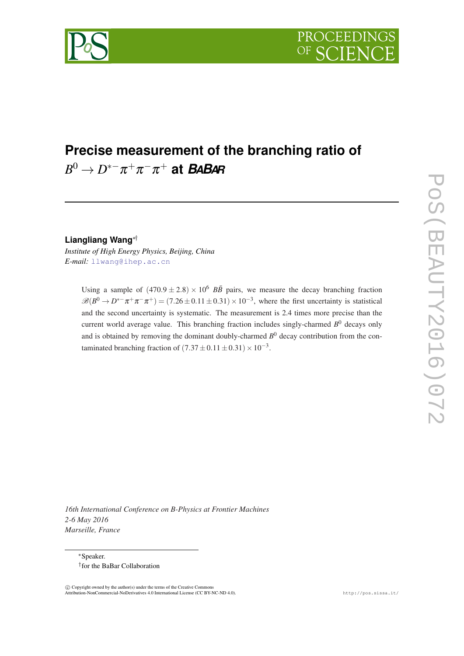

# **Precise measurement of the branching ratio of**  $B^0 \to D^{*-} \pi^+ \pi^- \pi^+$  at *BABA*R

**Liangliang Wang**∗†

*Institute of High Energy Physics, Beijing, China E-mail:* [llwang@ihep.ac.cn](mailto:llwang@ihep.ac.cn)

> Using a sample of  $(470.9 \pm 2.8) \times 10^6$  *BB* pairs, we measure the decay branching fraction  $\mathscr{B}(B^0 \to D^{*-}\pi^+\pi^-\pi^+)$  = (7.26 ± 0.11 ± 0.31) × 10<sup>-3</sup>, where the first uncertainty is statistical and the second uncertainty is systematic. The measurement is 2.4 times more precise than the current world average value. This branching fraction includes singly-charmed *B* <sup>0</sup> decays only and is obtained by removing the dominant doubly-charmed  $B^0$  decay contribution from the contaminated branching fraction of  $(7.37 \pm 0.11 \pm 0.31) \times 10^{-3}$ .

*16th International Conference on B-Physics at Frontier Machines 2-6 May 2016 Marseille, France*

<sup>∗</sup>Speaker. † for the BaBar Collaboration

 c Copyright owned by the author(s) under the terms of the Creative Commons Attribution-NonCommercial-NoDerivatives 4.0 International License (CC BY-NC-ND 4.0). http://pos.sissa.it/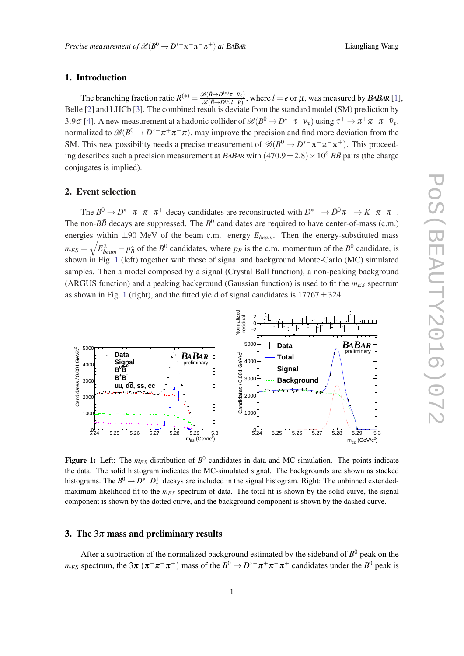#### **Liangliang Wang**

# 1. Introduction

The branching fraction ratio  $R^{(*)} = \frac{\mathcal{B}(\bar{B} \to D^{(*)}\tau^-\bar{v}_{\tau})}{\mathcal{B}(\bar{B} \to D^{(*)}I-\bar{v}_{\tau})}$  $\frac{\partial (B \to D^{(n)} l^{-} v_{\tau})}{\partial B(\bar{B} \to D^{(n)} l^{-} \bar{v})}$ , where  $l = e$  or  $\mu$ , was measured by BABAR [[1](#page-2-0)], Belle [\[2\]](#page-2-0) and LHCb [\[3\]](#page-2-0). The combined result is deviate from the standard model (SM) prediction by 3.9 $\sigma$  [[4](#page-2-0)]. A new measurement at a hadonic collider of  $\mathscr{B}(B^0 \to D^{*-}\tau^+\nu_\tau)$  using  $\tau^+ \to \pi^+\pi^-\pi^+\bar{\nu}_\tau$ , normalized to  $\mathscr{B}(B^0 \to D^{*-}\pi^+\pi^-\pi)$ , may improve the precision and find more deviation from the SM. This new possibility needs a precise measurement of  $\mathscr{B}(B^0 \to D^{*-} \pi^+ \pi^- \pi^+)$ . This proceeding describes such a precision measurement at BABAR with  $(470.9 \pm 2.8) \times 10^6$  *BB* pairs (the charge conjugates is implied).

## 2. Event selection

The  $B^0 \to D^{*-}\pi^+\pi^-\pi^+$  decay candidates are reconstructed with  $D^{*-} \to \bar{D}^0\pi^- \to K^+\pi^-\pi^-$ . The non- $B\bar{B}$  decays are suppressed. The  $B^0$  candidates are required to have center-of-mass (c.m.) energies within  $\pm 90$  MeV of the beam c.m. energy  $E_{beam}$ . Then the energy-substituted mass  $m_{ES} = \sqrt{E_{beam}^2 - p_B^2}$  of the *B*<sup>0</sup> candidates, where  $p_B$  is the c.m. momentum of the *B*<sup>0</sup> candidate, is shown in Fig. 1 (left) together with these of signal and background Monte-Carlo (MC) simulated samples. Then a model composed by a signal (Crystal Ball function), a non-peaking background (ARGUS function) and a peaking background (Gaussian function) is used to fit the *mES* spectrum as shown in Fig. 1 (right), and the fitted yield of signal candidates is  $17767 \pm 324$ .



Figure 1: Left: The  $m_{ES}$  distribution of  $B^0$  candidates in data and MC simulation. The points indicate the data. The solid histogram indicates the MC-simulated signal. The backgrounds are shown as stacked histograms. The  $B^0 \to D^{*-}D_s^+$  decays are included in the signal histogram. Right: The unbinned extendedmaximum-likelihood fit to the  $m_{ES}$  spectrum of data. The total fit is shown by the solid curve, the signal component is shown by the dotted curve, and the background component is shown by the dashed curve.

#### 3. The  $3\pi$  mass and preliminary results

After a subtraction of the normalized background estimated by the sideband of  $B^0$  peak on the *m*<sub>ES</sub> spectrum, the 3 $\pi (\pi^+\pi^-\pi^+)$  mass of the  $B^0 \to D^{*-}\pi^+\pi^-\pi^+$  candidates under the  $B^0$  peak is